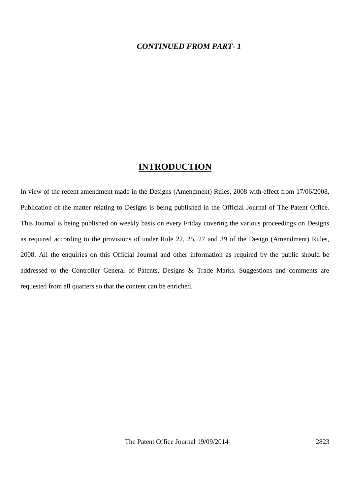#### *CONTINUED FROM PART- 1*

#### **INTRODUCTION**

In view of the recent amendment made in the Designs (Amendment) Rules, 2008 with effect from 17/06/2008, Publication of the matter relating to Designs is being published in the Official Journal of The Patent Office. This Journal is being published on weekly basis on every Friday covering the various proceedings on Designs as required according to the provisions of under Rule 22, 25, 27 and 39 of the Design (Amendment) Rules, 2008. All the enquiries on this Official Journal and other information as required by the public should be addressed to the Controller General of Patents, Designs & Trade Marks. Suggestions and comments are requested from all quarters so that the content can be enriched.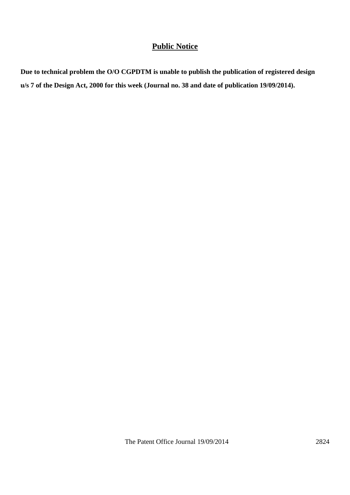## **Public Notice**

**Due to technical problem the O/O CGPDTM is unable to publish the publication of registered design u/s 7 of the Design Act, 2000 for this week (Journal no. 38 and date of publication 19/09/2014).**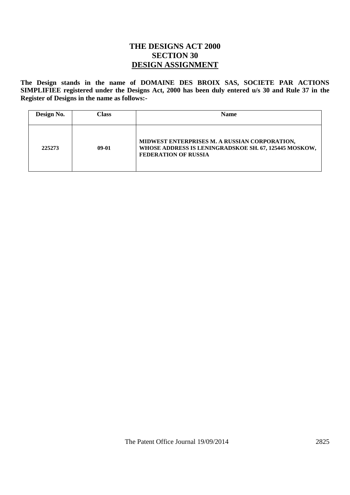### **THE DESIGNS ACT 2000 SECTION 30 DESIGN ASSIGNMENT**

**The Design stands in the name of DOMAINE DES BROIX SAS, SOCIETE PAR ACTIONS SIMPLIFIEE registered under the Designs Act, 2000 has been duly entered u/s 30 and Rule 37 in the Register of Designs in the name as follows:-**

| Design No. | Class   | <b>Name</b>                                                                                                                           |
|------------|---------|---------------------------------------------------------------------------------------------------------------------------------------|
| 225273     | $09-01$ | MIDWEST ENTERPRISES M. A RUSSIAN CORPORATION,<br>WHOSE ADDRESS IS LENINGRADSKOE SH. 67, 125445 MOSKOW,<br><b>FEDERATION OF RUSSIA</b> |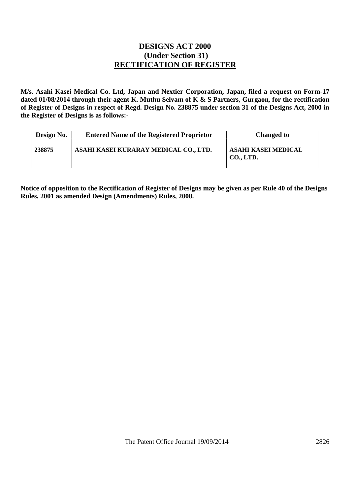#### **DESIGNS ACT 2000 (Under Section 31) RECTIFICATION OF REGISTER**

**M/s. Asahi Kasei Medical Co. Ltd, Japan and Nextier Corporation, Japan, filed a request on Form-17 dated 01/08/2014 through their agent K. Muthu Selvam of K & S Partners, Gurgaon, for the rectification of Register of Designs in respect of Regd. Design No. 238875 under section 31 of the Designs Act, 2000 in the Register of Designs is as follows:-**

| Design No. | <b>Entered Name of the Registered Proprietor</b> | <b>Changed to</b>                |
|------------|--------------------------------------------------|----------------------------------|
| 238875     | ASAHI KASEI KURARAY MEDICAL CO., LTD.            | ASAHI KASEI MEDICAL<br>CO., LTD. |

**Notice of opposition to the Rectification of Register of Designs may be given as per Rule 40 of the Designs Rules, 2001 as amended Design (Amendments) Rules, 2008.**